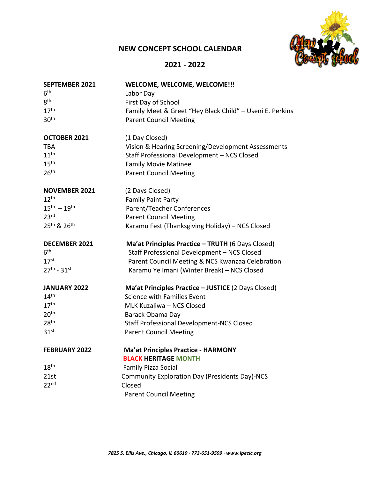## **NEW CONCEPT SCHOOL CALENDAR**



## **2021 - 2022**

| <b>SEPTEMBER 2021</b><br>6 <sup>th</sup> | WELCOME, WELCOME, WELCOME !!!<br>Labor Day               |
|------------------------------------------|----------------------------------------------------------|
| 8 <sup>th</sup>                          | First Day of School                                      |
| 17 <sup>th</sup>                         | Family Meet & Greet "Hey Black Child" - Useni E. Perkins |
| 30 <sup>th</sup>                         | <b>Parent Council Meeting</b>                            |
| OCTOBER 2021                             | (1 Day Closed)                                           |
| <b>TBA</b>                               | Vision & Hearing Screening/Development Assessments       |
| 11 <sup>th</sup>                         | Staff Professional Development - NCS Closed              |
| 15 <sup>th</sup>                         | <b>Family Movie Matinee</b>                              |
| 26 <sup>th</sup>                         | <b>Parent Council Meeting</b>                            |
| <b>NOVEMBER 2021</b>                     | (2 Days Closed)                                          |
| 12 <sup>th</sup>                         | <b>Family Paint Party</b>                                |
| $15^{th} - 19^{th}$                      | Parent/Teacher Conferences                               |
| 23 <sup>rd</sup>                         | <b>Parent Council Meeting</b>                            |
| 25 <sup>th</sup> & 26 <sup>th</sup>      | Karamu Fest (Thanksgiving Holiday) - NCS Closed          |
| <b>DECEMBER 2021</b>                     | Ma'at Principles Practice - TRUTH (6 Days Closed)        |
| 6 <sup>th</sup>                          | Staff Professional Development - NCS Closed              |
| 17 <sup>st</sup>                         | Parent Council Meeting & NCS Kwanzaa Celebration         |
| $27^{th} - 31^{st}$                      | Karamu Ye Imani (Winter Break) - NCS Closed              |
| <b>JANUARY 2022</b>                      | Ma'at Principles Practice - JUSTICE (2 Days Closed)      |
| 14 <sup>th</sup>                         | <b>Science with Families Event</b>                       |
| 17 <sup>th</sup>                         | MLK Kuzaliwa - NCS Closed                                |
| 20 <sup>th</sup>                         | Barack Obama Day                                         |
| 28 <sup>th</sup>                         | <b>Staff Professional Development-NCS Closed</b>         |
| 31 <sup>st</sup>                         | <b>Parent Council Meeting</b>                            |
| <b>FEBRUARY 2022</b>                     | <b>Ma'at Principles Practice - HARMONY</b>               |
|                                          | <b>BLACK HERITAGE MONTH</b>                              |
| 18 <sup>th</sup>                         | <b>Family Pizza Social</b>                               |
| 21st                                     | <b>Community Exploration Day (Presidents Day)-NCS</b>    |
| 22 <sup>nd</sup>                         | Closed                                                   |
|                                          | <b>Parent Council Meeting</b>                            |